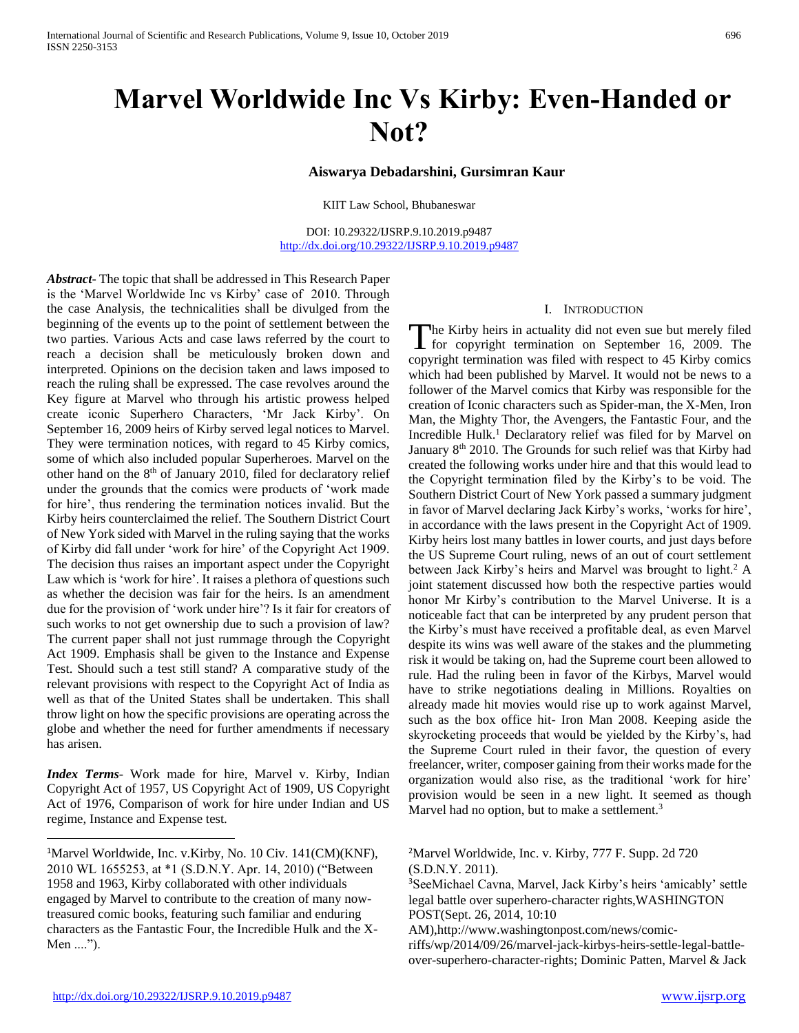# **Marvel Worldwide Inc Vs Kirby: Even-Handed or Not?**

# **Aiswarya Debadarshini, Gursimran Kaur**

KIIT Law School, Bhubaneswar

DOI: 10.29322/IJSRP.9.10.2019.p9487 <http://dx.doi.org/10.29322/IJSRP.9.10.2019.p9487>

*Abstract***-** The topic that shall be addressed in This Research Paper is the 'Marvel Worldwide Inc vs Kirby' case of 2010. Through the case Analysis, the technicalities shall be divulged from the beginning of the events up to the point of settlement between the two parties. Various Acts and case laws referred by the court to reach a decision shall be meticulously broken down and interpreted. Opinions on the decision taken and laws imposed to reach the ruling shall be expressed. The case revolves around the Key figure at Marvel who through his artistic prowess helped create iconic Superhero Characters, 'Mr Jack Kirby'. On September 16, 2009 heirs of Kirby served legal notices to Marvel. They were termination notices, with regard to 45 Kirby comics, some of which also included popular Superheroes. Marvel on the other hand on the 8<sup>th</sup> of January 2010, filed for declaratory relief under the grounds that the comics were products of 'work made for hire', thus rendering the termination notices invalid. But the Kirby heirs counterclaimed the relief. The Southern District Court of New York sided with Marvel in the ruling saying that the works of Kirby did fall under 'work for hire' of the Copyright Act 1909. The decision thus raises an important aspect under the Copyright Law which is 'work for hire'. It raises a plethora of questions such as whether the decision was fair for the heirs. Is an amendment due for the provision of 'work under hire'? Is it fair for creators of such works to not get ownership due to such a provision of law? The current paper shall not just rummage through the Copyright Act 1909. Emphasis shall be given to the Instance and Expense Test. Should such a test still stand? A comparative study of the relevant provisions with respect to the Copyright Act of India as well as that of the United States shall be undertaken. This shall throw light on how the specific provisions are operating across the globe and whether the need for further amendments if necessary has arisen.

*Index Terms*- Work made for hire, Marvel v. Kirby, Indian Copyright Act of 1957, US Copyright Act of 1909, US Copyright Act of 1976, Comparison of work for hire under Indian and US regime, Instance and Expense test.

# I. INTRODUCTION

The Kirby heirs in actuality did not even sue but merely filed<br>for copyright termination on September 16, 2009. The  $\blacktriangle$  for copyright termination on September 16, 2009. The copyright termination was filed with respect to 45 Kirby comics which had been published by Marvel. It would not be news to a follower of the Marvel comics that Kirby was responsible for the creation of Iconic characters such as Spider-man, the X-Men, Iron Man, the Mighty Thor, the Avengers, the Fantastic Four, and the Incredible Hulk.<sup>1</sup> Declaratory relief was filed for by Marvel on January 8<sup>th</sup> 2010. The Grounds for such relief was that Kirby had created the following works under hire and that this would lead to the Copyright termination filed by the Kirby's to be void. The Southern District Court of New York passed a summary judgment in favor of Marvel declaring Jack Kirby's works, 'works for hire', in accordance with the laws present in the Copyright Act of 1909. Kirby heirs lost many battles in lower courts, and just days before the US Supreme Court ruling, news of an out of court settlement between Jack Kirby's heirs and Marvel was brought to light.<sup>2</sup> A joint statement discussed how both the respective parties would honor Mr Kirby's contribution to the Marvel Universe. It is a noticeable fact that can be interpreted by any prudent person that the Kirby's must have received a profitable deal, as even Marvel despite its wins was well aware of the stakes and the plummeting risk it would be taking on, had the Supreme court been allowed to rule. Had the ruling been in favor of the Kirbys, Marvel would have to strike negotiations dealing in Millions. Royalties on already made hit movies would rise up to work against Marvel, such as the box office hit- Iron Man 2008. Keeping aside the skyrocketing proceeds that would be yielded by the Kirby's, had the Supreme Court ruled in their favor, the question of every freelancer, writer, composer gaining from their works made for the organization would also rise, as the traditional 'work for hire' provision would be seen in a new light. It seemed as though Marvel had no option, but to make a settlement.<sup>3</sup>

<sup>3</sup>SeeMichael Cavna, Marvel, Jack Kirby's heirs 'amicably' settle legal battle over superhero-character rights,WASHINGTON POST(Sept. 26, 2014, 10:10

AM),http://www.washingtonpost.com/news/comic-

riffs/wp/2014/09/26/marvel-jack-kirbys-heirs-settle-legal-battleover-superhero-character-rights; Dominic Patten, Marvel & Jack

 $\overline{a}$ 

<sup>&</sup>lt;sup>1</sup>Marvel Worldwide, Inc. v.Kirby, No. 10 Civ. 141(CM)(KNF), 2010 WL 1655253, at \*1 (S.D.N.Y. Apr. 14, 2010) ("Between 1958 and 1963, Kirby collaborated with other individuals engaged by Marvel to contribute to the creation of many nowtreasured comic books, featuring such familiar and enduring characters as the Fantastic Four, the Incredible Hulk and the X-Men ....").

<sup>2</sup>Marvel Worldwide, Inc. v. Kirby, 777 F. Supp. 2d 720 (S.D.N.Y. 2011).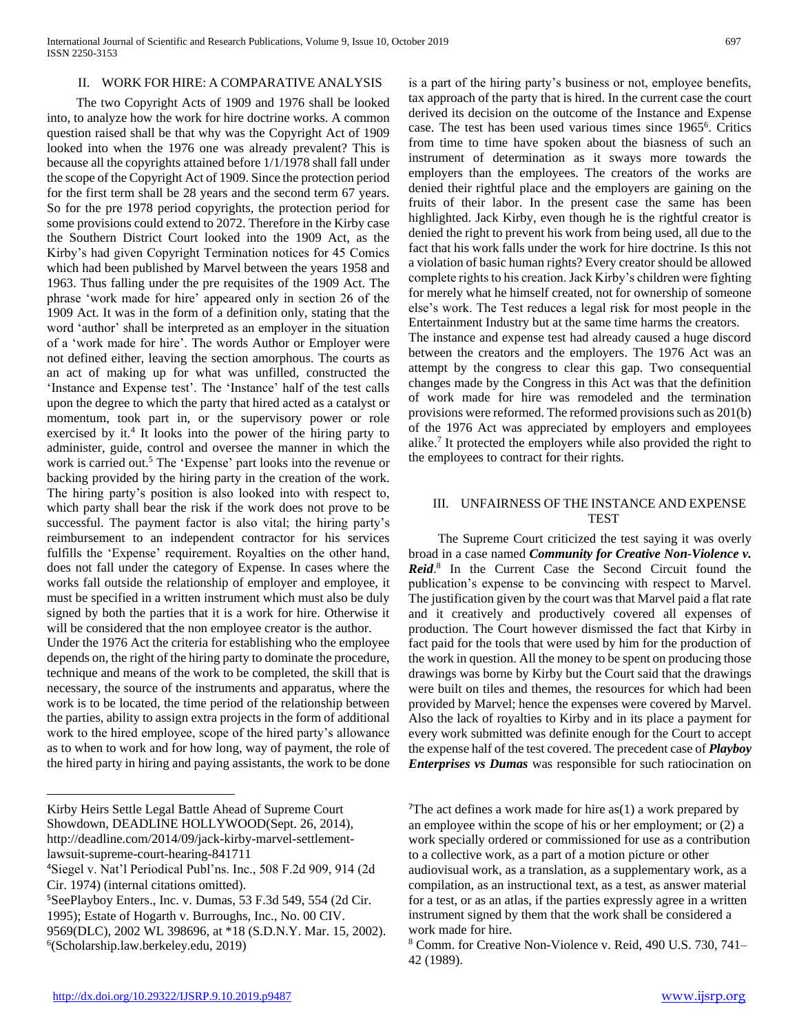## II. WORK FOR HIRE: A COMPARATIVE ANALYSIS

 The two Copyright Acts of 1909 and 1976 shall be looked into, to analyze how the work for hire doctrine works. A common question raised shall be that why was the Copyright Act of 1909 looked into when the 1976 one was already prevalent? This is because all the copyrights attained before 1/1/1978 shall fall under the scope of the Copyright Act of 1909. Since the protection period for the first term shall be 28 years and the second term 67 years. So for the pre 1978 period copyrights, the protection period for some provisions could extend to 2072. Therefore in the Kirby case the Southern District Court looked into the 1909 Act, as the Kirby's had given Copyright Termination notices for 45 Comics which had been published by Marvel between the years 1958 and 1963. Thus falling under the pre requisites of the 1909 Act. The phrase 'work made for hire' appeared only in section 26 of the 1909 Act. It was in the form of a definition only, stating that the word 'author' shall be interpreted as an employer in the situation of a 'work made for hire'. The words Author or Employer were not defined either, leaving the section amorphous. The courts as an act of making up for what was unfilled, constructed the 'Instance and Expense test'. The 'Instance' half of the test calls upon the degree to which the party that hired acted as a catalyst or momentum, took part in, or the supervisory power or role exercised by it.<sup>4</sup> It looks into the power of the hiring party to administer, guide, control and oversee the manner in which the work is carried out.<sup>5</sup> The 'Expense' part looks into the revenue or backing provided by the hiring party in the creation of the work. The hiring party's position is also looked into with respect to, which party shall bear the risk if the work does not prove to be successful. The payment factor is also vital; the hiring party's reimbursement to an independent contractor for his services fulfills the 'Expense' requirement. Royalties on the other hand, does not fall under the category of Expense. In cases where the works fall outside the relationship of employer and employee, it must be specified in a written instrument which must also be duly signed by both the parties that it is a work for hire. Otherwise it will be considered that the non employee creator is the author.

Under the 1976 Act the criteria for establishing who the employee depends on, the right of the hiring party to dominate the procedure, technique and means of the work to be completed, the skill that is necessary, the source of the instruments and apparatus, where the work is to be located, the time period of the relationship between the parties, ability to assign extra projects in the form of additional work to the hired employee, scope of the hired party's allowance as to when to work and for how long, way of payment, the role of the hired party in hiring and paying assistants, the work to be done

Kirby Heirs Settle Legal Battle Ahead of Supreme Court Showdown, DEADLINE HOLLYWOOD(Sept. 26, 2014), http://deadline.com/2014/09/jack-kirby-marvel-settlementlawsuit-supreme-court-hearing-841711

 $\overline{a}$ 

9569(DLC), 2002 WL 398696, at \*18 (S.D.N.Y. Mar. 15, 2002). 6 (Scholarship.law.berkeley.edu, 2019)

is a part of the hiring party's business or not, employee benefits, tax approach of the party that is hired. In the current case the court derived its decision on the outcome of the Instance and Expense case. The test has been used various times since 1965<sup>6</sup> . Critics from time to time have spoken about the biasness of such an instrument of determination as it sways more towards the employers than the employees. The creators of the works are denied their rightful place and the employers are gaining on the fruits of their labor. In the present case the same has been highlighted. Jack Kirby, even though he is the rightful creator is denied the right to prevent his work from being used, all due to the fact that his work falls under the work for hire doctrine. Is this not a violation of basic human rights? Every creator should be allowed complete rights to his creation. Jack Kirby's children were fighting for merely what he himself created, not for ownership of someone else's work. The Test reduces a legal risk for most people in the Entertainment Industry but at the same time harms the creators.

The instance and expense test had already caused a huge discord between the creators and the employers. The 1976 Act was an attempt by the congress to clear this gap. Two consequential changes made by the Congress in this Act was that the definition of work made for hire was remodeled and the termination provisions were reformed. The reformed provisions such as 201(b) of the 1976 Act was appreciated by employers and employees alike.<sup>7</sup> It protected the employers while also provided the right to the employees to contract for their rights.

### III. UNFAIRNESS OF THE INSTANCE AND EXPENSE **TEST**

 The Supreme Court criticized the test saying it was overly broad in a case named *Community for Creative Non-Violence v. Reid*. 8 In the Current Case the Second Circuit found the publication's expense to be convincing with respect to Marvel. The justification given by the court was that Marvel paid a flat rate and it creatively and productively covered all expenses of production. The Court however dismissed the fact that Kirby in fact paid for the tools that were used by him for the production of the work in question. All the money to be spent on producing those drawings was borne by Kirby but the Court said that the drawings were built on tiles and themes, the resources for which had been provided by Marvel; hence the expenses were covered by Marvel. Also the lack of royalties to Kirby and in its place a payment for every work submitted was definite enough for the Court to accept the expense half of the test covered. The precedent case of *Playboy Enterprises vs Dumas* was responsible for such ratiocination on

<sup>4</sup>Siegel v. Nat'l Periodical Publ'ns. Inc., 508 F.2d 909, 914 (2d Cir. 1974) (internal citations omitted).

<sup>5</sup>SeePlayboy Enters., Inc. v. Dumas, 53 F.3d 549, 554 (2d Cir.

<sup>1995);</sup> Estate of Hogarth v. Burroughs, Inc., No. 00 CIV.

<sup>&</sup>lt;sup>7</sup>The act defines a work made for hire  $as(1)$  a work prepared by an employee within the scope of his or her employment; or (2) a work specially ordered or commissioned for use as a contribution to a collective work, as a part of a motion picture or other audiovisual work, as a translation, as a supplementary work, as a compilation, as an instructional text, as a test, as answer material for a test, or as an atlas, if the parties expressly agree in a written instrument signed by them that the work shall be considered a work made for hire.

<sup>8</sup> Comm. for Creative Non-Violence v. Reid, 490 U.S. 730, 741– 42 (1989).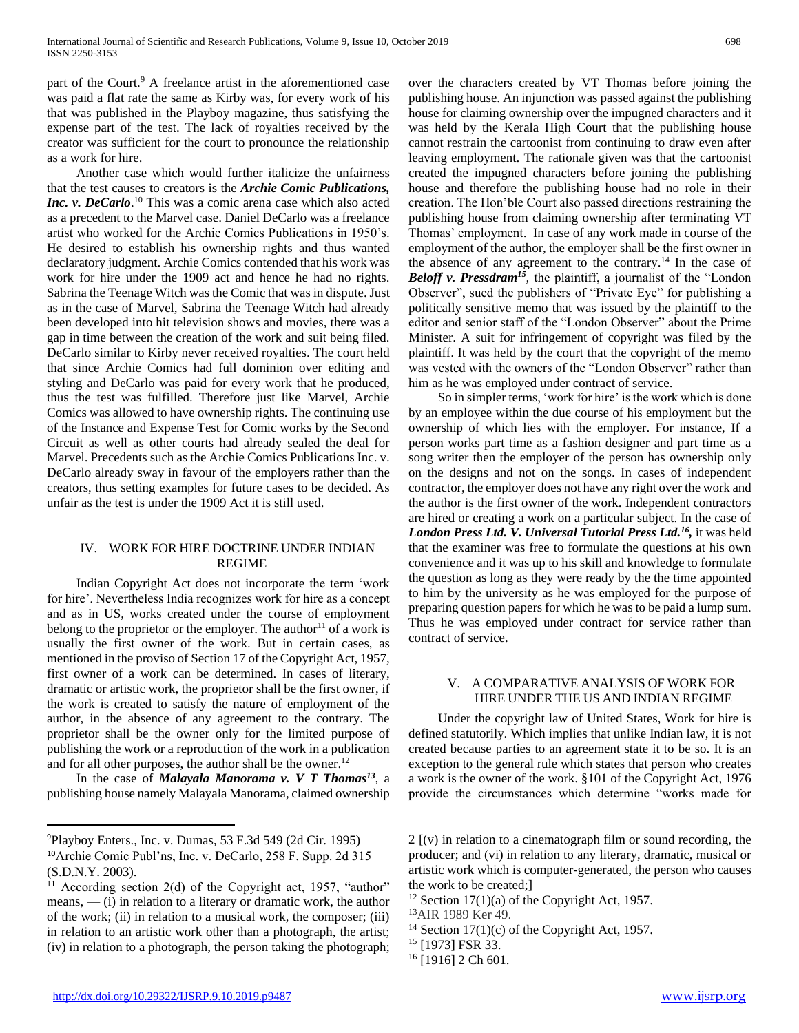part of the Court.<sup>9</sup> A freelance artist in the aforementioned case was paid a flat rate the same as Kirby was, for every work of his that was published in the Playboy magazine, thus satisfying the expense part of the test. The lack of royalties received by the creator was sufficient for the court to pronounce the relationship as a work for hire.

 Another case which would further italicize the unfairness that the test causes to creators is the *Archie Comic Publications, Inc. v. DeCarlo*. <sup>10</sup> This was a comic arena case which also acted as a precedent to the Marvel case. Daniel DeCarlo was a freelance artist who worked for the Archie Comics Publications in 1950's. He desired to establish his ownership rights and thus wanted declaratory judgment. Archie Comics contended that his work was work for hire under the 1909 act and hence he had no rights. Sabrina the Teenage Witch was the Comic that was in dispute. Just as in the case of Marvel, Sabrina the Teenage Witch had already been developed into hit television shows and movies, there was a gap in time between the creation of the work and suit being filed. DeCarlo similar to Kirby never received royalties. The court held that since Archie Comics had full dominion over editing and styling and DeCarlo was paid for every work that he produced, thus the test was fulfilled. Therefore just like Marvel, Archie Comics was allowed to have ownership rights. The continuing use of the Instance and Expense Test for Comic works by the Second Circuit as well as other courts had already sealed the deal for Marvel. Precedents such as the Archie Comics Publications Inc. v. DeCarlo already sway in favour of the employers rather than the creators, thus setting examples for future cases to be decided. As unfair as the test is under the 1909 Act it is still used.

# IV. WORK FOR HIRE DOCTRINE UNDER INDIAN REGIME

 Indian Copyright Act does not incorporate the term 'work for hire'. Nevertheless India recognizes work for hire as a concept and as in US, works created under the course of employment belong to the proprietor or the employer. The author<sup>11</sup> of a work is usually the first owner of the work. But in certain cases, as mentioned in the proviso of Section 17 of the Copyright Act, 1957, first owner of a work can be determined. In cases of literary, dramatic or artistic work, the proprietor shall be the first owner, if the work is created to satisfy the nature of employment of the author, in the absence of any agreement to the contrary. The proprietor shall be the owner only for the limited purpose of publishing the work or a reproduction of the work in a publication and for all other purposes, the author shall be the owner.<sup>12</sup>

 In the case of *Malayala Manorama v. V T Thomas<sup>13</sup> ,* a publishing house namely Malayala Manorama, claimed ownership

over the characters created by VT Thomas before joining the publishing house. An injunction was passed against the publishing house for claiming ownership over the impugned characters and it was held by the Kerala High Court that the publishing house cannot restrain the cartoonist from continuing to draw even after leaving employment. The rationale given was that the cartoonist created the impugned characters before joining the publishing house and therefore the publishing house had no role in their creation. The Hon'ble Court also passed directions restraining the publishing house from claiming ownership after terminating VT Thomas' employment. In case of any work made in course of the employment of the author, the employer shall be the first owner in the absence of any agreement to the contrary.<sup>14</sup> In the case of *Beloff v. Pressdram<sup>15</sup>*, the plaintiff, a journalist of the "London Observer", sued the publishers of "Private Eye" for publishing a politically sensitive memo that was issued by the plaintiff to the editor and senior staff of the "London Observer" about the Prime Minister. A suit for infringement of copyright was filed by the plaintiff. It was held by the court that the copyright of the memo was vested with the owners of the "London Observer" rather than him as he was employed under contract of service.

 So in simpler terms, 'work for hire' is the work which is done by an employee within the due course of his employment but the ownership of which lies with the employer. For instance, If a person works part time as a fashion designer and part time as a song writer then the employer of the person has ownership only on the designs and not on the songs. In cases of independent contractor, the employer does not have any right over the work and the author is the first owner of the work. Independent contractors are hired or creating a work on a particular subject. In the case of *London Press Ltd. V. Universal Tutorial Press Ltd.<sup>16</sup> ,* it was held that the examiner was free to formulate the questions at his own convenience and it was up to his skill and knowledge to formulate the question as long as they were ready by the the time appointed to him by the university as he was employed for the purpose of preparing question papers for which he was to be paid a lump sum. Thus he was employed under contract for service rather than contract of service.

## V. A COMPARATIVE ANALYSIS OF WORK FOR HIRE UNDER THE US AND INDIAN REGIME

 Under the copyright law of United States, Work for hire is defined statutorily. Which implies that unlike Indian law, it is not created because parties to an agreement state it to be so. It is an exception to the general rule which states that person who creates a work is the owner of the work. §101 of the Copyright Act, 1976 provide the circumstances which determine "works made for

 $\overline{a}$ 

<sup>9</sup>Playboy Enters., Inc. v. Dumas, 53 F.3d 549 (2d Cir. 1995) <sup>10</sup>Archie Comic Publ'ns, Inc. v. DeCarlo, 258 F. Supp. 2d 315 (S.D.N.Y. 2003).

<sup>&</sup>lt;sup>11</sup> According section 2(d) of the Copyright act, 1957, "author" means, — (i) in relation to a literary or dramatic work, the author of the work; (ii) in relation to a musical work, the composer; (iii) in relation to an artistic work other than a photograph, the artist; (iv) in relation to a photograph, the person taking the photograph;

<sup>2 [(</sup>v) in relation to a cinematograph film or sound recording, the producer; and (vi) in relation to any literary, dramatic, musical or artistic work which is computer-generated, the person who causes the work to be created;]

<sup>&</sup>lt;sup>12</sup> Section 17(1)(a) of the Copyright Act, 1957.

<sup>13</sup>AIR 1989 Ker 49.

 $14$  Section 17(1)(c) of the Copyright Act, 1957.

<sup>15</sup> [1973] FSR 33.

 $16$  [1916] 2 Ch 601.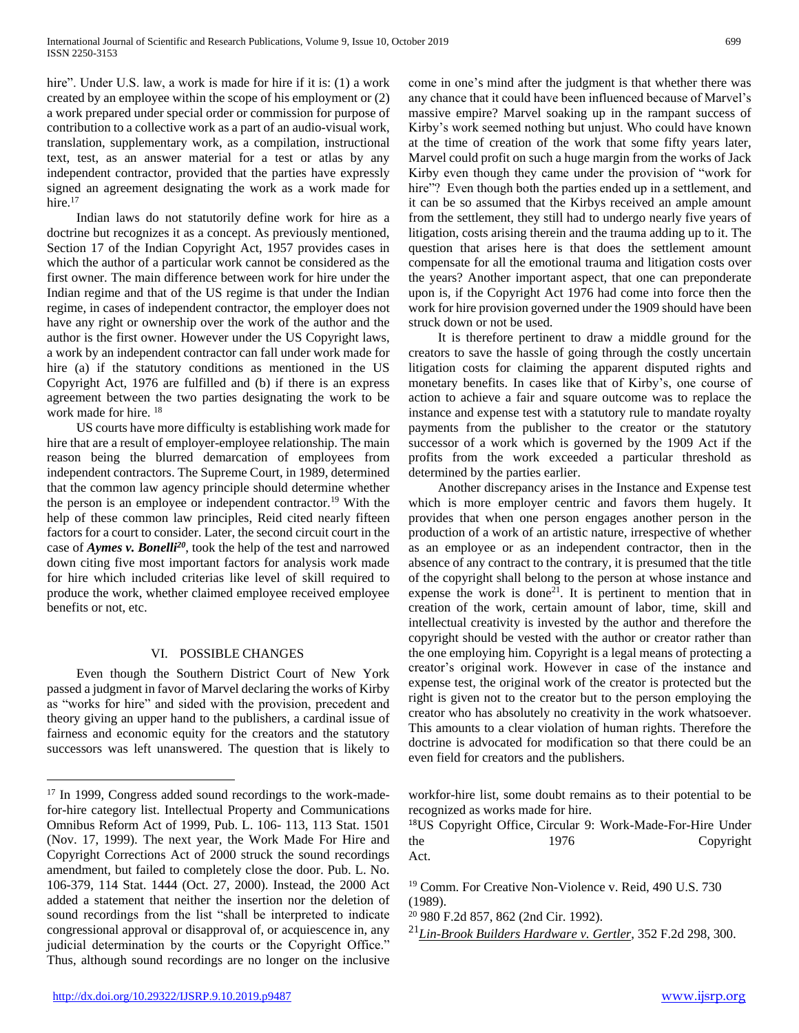hire". Under U.S. law, a work is made for hire if it is: (1) a work created by an employee within the scope of his employment or (2) a work prepared under special order or commission for purpose of contribution to a collective work as a part of an audio-visual work, translation, supplementary work, as a compilation, instructional text, test, as an answer material for a test or atlas by any independent contractor, provided that the parties have expressly signed an agreement designating the work as a work made for hire.<sup>17</sup>

 Indian laws do not statutorily define work for hire as a doctrine but recognizes it as a concept. As previously mentioned, Section 17 of the Indian Copyright Act, 1957 provides cases in which the author of a particular work cannot be considered as the first owner. The main difference between work for hire under the Indian regime and that of the US regime is that under the Indian regime, in cases of independent contractor, the employer does not have any right or ownership over the work of the author and the author is the first owner. However under the US Copyright laws, a work by an independent contractor can fall under work made for hire (a) if the statutory conditions as mentioned in the US Copyright Act, 1976 are fulfilled and (b) if there is an express agreement between the two parties designating the work to be work made for hire.<sup>18</sup>

 US courts have more difficulty is establishing work made for hire that are a result of employer-employee relationship. The main reason being the blurred demarcation of employees from independent contractors. The Supreme Court, in 1989, determined that the common law agency principle should determine whether the person is an employee or independent contractor.<sup>19</sup> With the help of these common law principles, Reid cited nearly fifteen factors for a court to consider. Later, the second circuit court in the case of *Aymes v. Bonelli<sup>20</sup>*, took the help of the test and narrowed down citing five most important factors for analysis work made for hire which included criterias like level of skill required to produce the work, whether claimed employee received employee benefits or not, etc.

# VI. POSSIBLE CHANGES

 Even though the Southern District Court of New York passed a judgment in favor of Marvel declaring the works of Kirby as "works for hire" and sided with the provision, precedent and theory giving an upper hand to the publishers, a cardinal issue of fairness and economic equity for the creators and the statutory successors was left unanswered. The question that is likely to come in one's mind after the judgment is that whether there was any chance that it could have been influenced because of Marvel's massive empire? Marvel soaking up in the rampant success of Kirby's work seemed nothing but unjust. Who could have known at the time of creation of the work that some fifty years later, Marvel could profit on such a huge margin from the works of Jack Kirby even though they came under the provision of "work for hire"? Even though both the parties ended up in a settlement, and it can be so assumed that the Kirbys received an ample amount from the settlement, they still had to undergo nearly five years of litigation, costs arising therein and the trauma adding up to it. The question that arises here is that does the settlement amount compensate for all the emotional trauma and litigation costs over the years? Another important aspect, that one can preponderate upon is, if the Copyright Act 1976 had come into force then the work for hire provision governed under the 1909 should have been struck down or not be used.

 It is therefore pertinent to draw a middle ground for the creators to save the hassle of going through the costly uncertain litigation costs for claiming the apparent disputed rights and monetary benefits. In cases like that of Kirby's, one course of action to achieve a fair and square outcome was to replace the instance and expense test with a statutory rule to mandate royalty payments from the publisher to the creator or the statutory successor of a work which is governed by the 1909 Act if the profits from the work exceeded a particular threshold as determined by the parties earlier.

 Another discrepancy arises in the Instance and Expense test which is more employer centric and favors them hugely. It provides that when one person engages another person in the production of a work of an artistic nature, irrespective of whether as an employee or as an independent contractor, then in the absence of any contract to the contrary, it is presumed that the title of the copyright shall belong to the person at whose instance and expense the work is done<sup>21</sup>. It is pertinent to mention that in creation of the work, certain amount of labor, time, skill and intellectual creativity is invested by the author and therefore the copyright should be vested with the author or creator rather than the one employing him. Copyright is a legal means of protecting a creator's original work. However in case of the instance and expense test, the original work of the creator is protected but the right is given not to the creator but to the person employing the creator who has absolutely no creativity in the work whatsoever. This amounts to a clear violation of human rights. Therefore the doctrine is advocated for modification so that there could be an even field for creators and the publishers.

workfor-hire list, some doubt remains as to their potential to be recognized as works made for hire.

<sup>18</sup>US Copyright Office, [Circular 9: Work-Made-For-Hire Under](http://www.copyright.gov/circs/circ09.pdf)  the 1976 Copyright [Act.](http://www.copyright.gov/circs/circ09.pdf)

<sup>19</sup> Comm. For Creative Non-Violence v. Reid, 490 U.S. 730 (1989).

<sup>21</sup>*[Lin-Brook Builders Hardware v. Gertler](http://scholar.google.com/scholar_case?case=18060321505511476664)*, 352 F.2d 298, 300.

 $\overline{a}$ 

<sup>&</sup>lt;sup>17</sup> In 1999, Congress added sound recordings to the work-madefor-hire category list. Intellectual Property and Communications Omnibus Reform Act of 1999, Pub. L. 106- 113, 113 Stat. 1501 (Nov. 17, 1999). The next year, the Work Made For Hire and Copyright Corrections Act of 2000 struck the sound recordings amendment, but failed to completely close the door. Pub. L. No. 106-379, 114 Stat. 1444 (Oct. 27, 2000). Instead, the 2000 Act added a statement that neither the insertion nor the deletion of sound recordings from the list "shall be interpreted to indicate congressional approval or disapproval of, or acquiescence in, any judicial determination by the courts or the Copyright Office." Thus, although sound recordings are no longer on the inclusive

<sup>20</sup> 980 F.2d 857, 862 (2nd Cir. 1992).